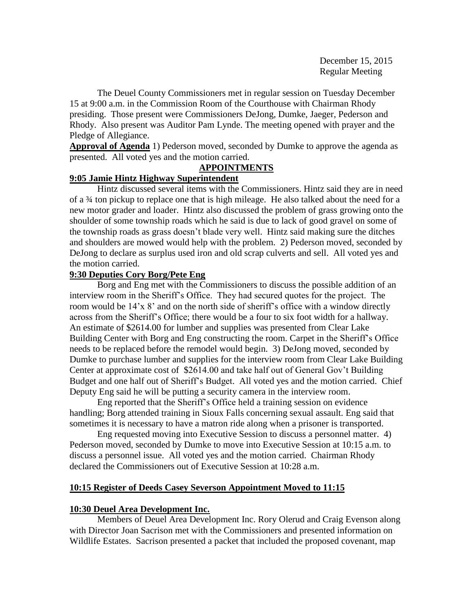The Deuel County Commissioners met in regular session on Tuesday December 15 at 9:00 a.m. in the Commission Room of the Courthouse with Chairman Rhody presiding. Those present were Commissioners DeJong, Dumke, Jaeger, Pederson and Rhody. Also present was Auditor Pam Lynde. The meeting opened with prayer and the Pledge of Allegiance.

**Approval of Agenda** 1) Pederson moved, seconded by Dumke to approve the agenda as presented. All voted yes and the motion carried.

# **APPOINTMENTS**

## **9:05 Jamie Hintz Highway Superintendent**

Hintz discussed several items with the Commissioners. Hintz said they are in need of a ¾ ton pickup to replace one that is high mileage. He also talked about the need for a new motor grader and loader. Hintz also discussed the problem of grass growing onto the shoulder of some township roads which he said is due to lack of good gravel on some of the township roads as grass doesn't blade very well. Hintz said making sure the ditches and shoulders are mowed would help with the problem. 2) Pederson moved, seconded by DeJong to declare as surplus used iron and old scrap culverts and sell. All voted yes and the motion carried.

## **9:30 Deputies Cory Borg/Pete Eng**

Borg and Eng met with the Commissioners to discuss the possible addition of an interview room in the Sheriff's Office. They had secured quotes for the project. The room would be 14'x 8' and on the north side of sheriff's office with a window directly across from the Sheriff's Office; there would be a four to six foot width for a hallway. An estimate of \$2614.00 for lumber and supplies was presented from Clear Lake Building Center with Borg and Eng constructing the room. Carpet in the Sheriff's Office needs to be replaced before the remodel would begin. 3) DeJong moved, seconded by Dumke to purchase lumber and supplies for the interview room from Clear Lake Building Center at approximate cost of \$2614.00 and take half out of General Gov't Building Budget and one half out of Sheriff's Budget. All voted yes and the motion carried. Chief Deputy Eng said he will be putting a security camera in the interview room.

Eng reported that the Sheriff's Office held a training session on evidence handling; Borg attended training in Sioux Falls concerning sexual assault. Eng said that sometimes it is necessary to have a matron ride along when a prisoner is transported.

Eng requested moving into Executive Session to discuss a personnel matter. 4) Pederson moved, seconded by Dumke to move into Executive Session at 10:15 a.m. to discuss a personnel issue. All voted yes and the motion carried. Chairman Rhody declared the Commissioners out of Executive Session at 10:28 a.m.

# **10:15 Register of Deeds Casey Severson Appointment Moved to 11:15**

# **10:30 Deuel Area Development Inc.**

Members of Deuel Area Development Inc. Rory Olerud and Craig Evenson along with Director Joan Sacrison met with the Commissioners and presented information on Wildlife Estates. Sacrison presented a packet that included the proposed covenant, map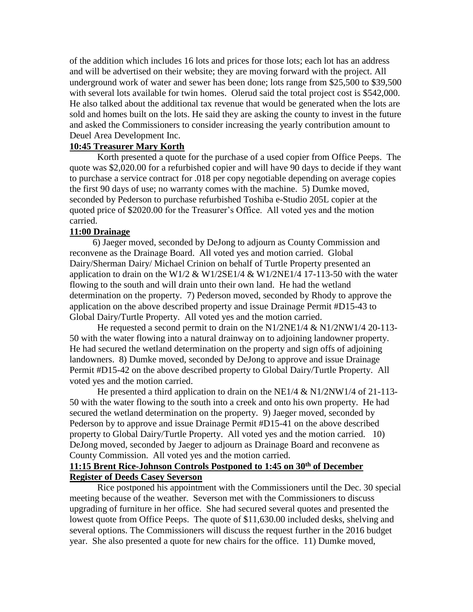of the addition which includes 16 lots and prices for those lots; each lot has an address and will be advertised on their website; they are moving forward with the project. All underground work of water and sewer has been done; lots range from \$25,500 to \$39,500 with several lots available for twin homes. Olerud said the total project cost is \$542,000. He also talked about the additional tax revenue that would be generated when the lots are sold and homes built on the lots. He said they are asking the county to invest in the future and asked the Commissioners to consider increasing the yearly contribution amount to Deuel Area Development Inc.

#### **10:45 Treasurer Mary Korth**

Korth presented a quote for the purchase of a used copier from Office Peeps. The quote was \$2,020.00 for a refurbished copier and will have 90 days to decide if they want to purchase a service contract for .018 per copy negotiable depending on average copies the first 90 days of use; no warranty comes with the machine. 5) Dumke moved, seconded by Pederson to purchase refurbished Toshiba e-Studio 205L copier at the quoted price of \$2020.00 for the Treasurer's Office. All voted yes and the motion carried.

#### **11:00 Drainage**

 6) Jaeger moved, seconded by DeJong to adjourn as County Commission and reconvene as the Drainage Board. All voted yes and motion carried. Global Dairy/Sherman Dairy/ Michael Crinion on behalf of Turtle Property presented an application to drain on the W1/2  $\&$  W1/2SE1/4  $\&$  W1/2NE1/4 17-113-50 with the water flowing to the south and will drain unto their own land. He had the wetland determination on the property. 7) Pederson moved, seconded by Rhody to approve the application on the above described property and issue Drainage Permit #D15-43 to Global Dairy/Turtle Property. All voted yes and the motion carried.

He requested a second permit to drain on the N1/2NE1/4 & N1/2NW1/4 20-113- 50 with the water flowing into a natural drainway on to adjoining landowner property. He had secured the wetland determination on the property and sign offs of adjoining landowners. 8) Dumke moved, seconded by DeJong to approve and issue Drainage Permit #D15-42 on the above described property to Global Dairy/Turtle Property. All voted yes and the motion carried.

He presented a third application to drain on the NE1/4 & N1/2NW1/4 of 21-113-50 with the water flowing to the south into a creek and onto his own property. He had secured the wetland determination on the property. 9) Jaeger moved, seconded by Pederson by to approve and issue Drainage Permit #D15-41 on the above described property to Global Dairy/Turtle Property. All voted yes and the motion carried. 10) DeJong moved, seconded by Jaeger to adjourn as Drainage Board and reconvene as County Commission. All voted yes and the motion carried.

#### **11:15 Brent Rice-Johnson Controls Postponed to 1:45 on 30th of December Register of Deeds Casey Severson**

Rice postponed his appointment with the Commissioners until the Dec. 30 special meeting because of the weather. Severson met with the Commissioners to discuss upgrading of furniture in her office. She had secured several quotes and presented the lowest quote from Office Peeps. The quote of \$11,630.00 included desks, shelving and several options. The Commissioners will discuss the request further in the 2016 budget year. She also presented a quote for new chairs for the office. 11) Dumke moved,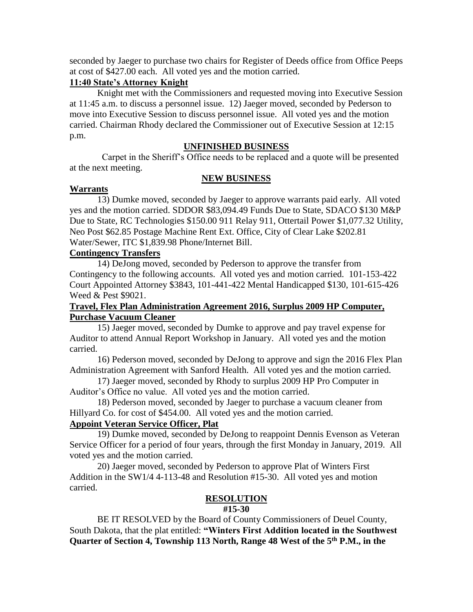seconded by Jaeger to purchase two chairs for Register of Deeds office from Office Peeps at cost of \$427.00 each. All voted yes and the motion carried.

# **11:40 State's Attorney Knight**

Knight met with the Commissioners and requested moving into Executive Session at 11:45 a.m. to discuss a personnel issue. 12) Jaeger moved, seconded by Pederson to move into Executive Session to discuss personnel issue. All voted yes and the motion carried. Chairman Rhody declared the Commissioner out of Executive Session at 12:15 p.m.

### **UNFINISHED BUSINESS**

 Carpet in the Sheriff's Office needs to be replaced and a quote will be presented at the next meeting.

#### **NEW BUSINESS**

#### **Warrants**

13) Dumke moved, seconded by Jaeger to approve warrants paid early. All voted yes and the motion carried. SDDOR \$83,094.49 Funds Due to State, SDACO \$130 M&P Due to State, RC Technologies \$150.00 911 Relay 911, Ottertail Power \$1,077.32 Utility, Neo Post \$62.85 Postage Machine Rent Ext. Office, City of Clear Lake \$202.81 Water/Sewer, ITC \$1,839.98 Phone/Internet Bill.

### **Contingency Transfers**

14) DeJong moved, seconded by Pederson to approve the transfer from Contingency to the following accounts. All voted yes and motion carried. 101-153-422 Court Appointed Attorney \$3843, 101-441-422 Mental Handicapped \$130, 101-615-426 Weed & Pest \$9021.

## **Travel, Flex Plan Administration Agreement 2016, Surplus 2009 HP Computer, Purchase Vacuum Cleaner**

15) Jaeger moved, seconded by Dumke to approve and pay travel expense for Auditor to attend Annual Report Workshop in January. All voted yes and the motion carried.

16) Pederson moved, seconded by DeJong to approve and sign the 2016 Flex Plan Administration Agreement with Sanford Health. All voted yes and the motion carried.

17) Jaeger moved, seconded by Rhody to surplus 2009 HP Pro Computer in Auditor's Office no value. All voted yes and the motion carried.

18) Pederson moved, seconded by Jaeger to purchase a vacuum cleaner from Hillyard Co. for cost of \$454.00. All voted yes and the motion carried.

#### **Appoint Veteran Service Officer, Plat**

19) Dumke moved, seconded by DeJong to reappoint Dennis Evenson as Veteran Service Officer for a period of four years, through the first Monday in January, 2019. All voted yes and the motion carried.

20) Jaeger moved, seconded by Pederson to approve Plat of Winters First Addition in the SW1/4 4-113-48 and Resolution #15-30. All voted yes and motion carried.

# **RESOLUTION**

#### **#15-30**

BE IT RESOLVED by the Board of County Commissioners of Deuel County, South Dakota, that the plat entitled: **"Winters First Addition located in the Southwest Quarter of Section 4, Township 113 North, Range 48 West of the 5th P.M., in the**